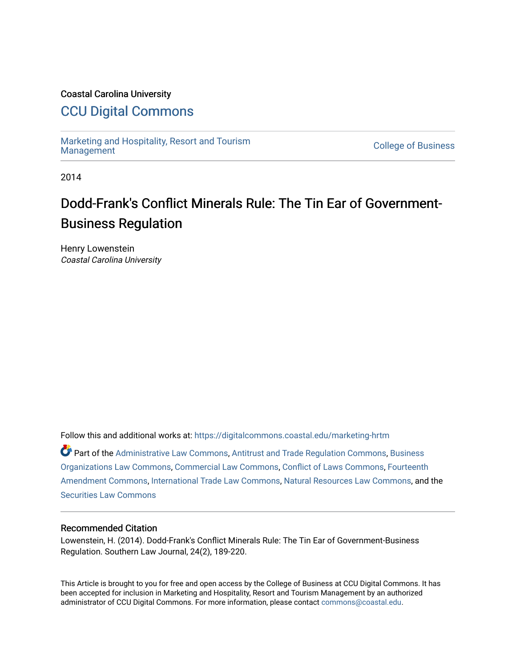# Coastal Carolina University

# [CCU Digital Commons](https://digitalcommons.coastal.edu/)

[Marketing and Hospitality, Resort and Tourism](https://digitalcommons.coastal.edu/marketing-hrtm) [Management](https://digitalcommons.coastal.edu/marketing-hrtm) [College of Business](https://digitalcommons.coastal.edu/business) 

2014

# Dodd-Frank's Conflict Minerals Rule: The Tin Ear of Government-Business Regulation

Henry Lowenstein Coastal Carolina University

Follow this and additional works at: [https://digitalcommons.coastal.edu/marketing-hrtm](https://digitalcommons.coastal.edu/marketing-hrtm?utm_source=digitalcommons.coastal.edu%2Fmarketing-hrtm%2F1&utm_medium=PDF&utm_campaign=PDFCoverPages)

Part of the [Administrative Law Commons,](http://network.bepress.com/hgg/discipline/579?utm_source=digitalcommons.coastal.edu%2Fmarketing-hrtm%2F1&utm_medium=PDF&utm_campaign=PDFCoverPages) [Antitrust and Trade Regulation Commons,](http://network.bepress.com/hgg/discipline/911?utm_source=digitalcommons.coastal.edu%2Fmarketing-hrtm%2F1&utm_medium=PDF&utm_campaign=PDFCoverPages) [Business](http://network.bepress.com/hgg/discipline/900?utm_source=digitalcommons.coastal.edu%2Fmarketing-hrtm%2F1&utm_medium=PDF&utm_campaign=PDFCoverPages)  [Organizations Law Commons](http://network.bepress.com/hgg/discipline/900?utm_source=digitalcommons.coastal.edu%2Fmarketing-hrtm%2F1&utm_medium=PDF&utm_campaign=PDFCoverPages), [Commercial Law Commons,](http://network.bepress.com/hgg/discipline/586?utm_source=digitalcommons.coastal.edu%2Fmarketing-hrtm%2F1&utm_medium=PDF&utm_campaign=PDFCoverPages) [Conflict of Laws Commons,](http://network.bepress.com/hgg/discipline/588?utm_source=digitalcommons.coastal.edu%2Fmarketing-hrtm%2F1&utm_medium=PDF&utm_campaign=PDFCoverPages) [Fourteenth](http://network.bepress.com/hgg/discipline/1116?utm_source=digitalcommons.coastal.edu%2Fmarketing-hrtm%2F1&utm_medium=PDF&utm_campaign=PDFCoverPages)  [Amendment Commons](http://network.bepress.com/hgg/discipline/1116?utm_source=digitalcommons.coastal.edu%2Fmarketing-hrtm%2F1&utm_medium=PDF&utm_campaign=PDFCoverPages), [International Trade Law Commons,](http://network.bepress.com/hgg/discipline/848?utm_source=digitalcommons.coastal.edu%2Fmarketing-hrtm%2F1&utm_medium=PDF&utm_campaign=PDFCoverPages) [Natural Resources Law Commons](http://network.bepress.com/hgg/discipline/863?utm_source=digitalcommons.coastal.edu%2Fmarketing-hrtm%2F1&utm_medium=PDF&utm_campaign=PDFCoverPages), and the [Securities Law Commons](http://network.bepress.com/hgg/discipline/619?utm_source=digitalcommons.coastal.edu%2Fmarketing-hrtm%2F1&utm_medium=PDF&utm_campaign=PDFCoverPages)

#### Recommended Citation

Lowenstein, H. (2014). Dodd-Frank's Conflict Minerals Rule: The Tin Ear of Government-Business Regulation. Southern Law Journal, 24(2), 189-220.

This Article is brought to you for free and open access by the College of Business at CCU Digital Commons. It has been accepted for inclusion in Marketing and Hospitality, Resort and Tourism Management by an authorized administrator of CCU Digital Commons. For more information, please contact [commons@coastal.edu.](mailto:commons@coastal.edu)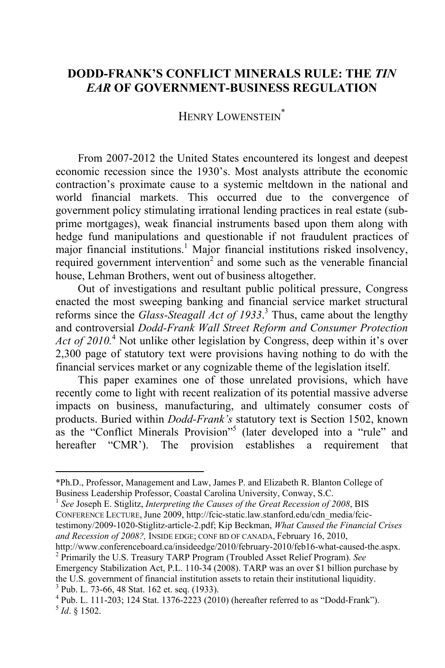# **DODD-FRANK'S CONFLICT MINERALS RULE: THE** *TIN EAR* **OF GOVERNMENT-BUSINESS REGULATION**

HENRY LOWENSTEIN<sup>\*</sup>

From 2007-2012 the United States encountered its longest and deepest economic recession since the 1930's. Most analysts attribute the economic contraction's proximate cause to a systemic meltdown in the national and world financial markets. This occurred due to the convergence of government policy stimulating irrational lending practices in real estate (subprime mortgages), weak financial instruments based upon them along with hedge fund manipulations and questionable if not fraudulent practices of major financial institutions.<sup>1</sup> Major financial institutions risked insolvency, required government intervention<sup>2</sup> and some such as the venerable financial house, Lehman Brothers, went out of business altogether.

Out of investigations and resultant public political pressure, Congress enacted the most sweeping banking and financial service market structural reforms since the *Glass-Steagall Act of 1933*. 3 Thus, came about the lengthy and controversial *Dodd-Frank Wall Street Reform and Consumer Protection*  Act of 2010.<sup>4</sup> Not unlike other legislation by Congress, deep within it's over 2,300 page of statutory text were provisions having nothing to do with the financial services market or any cognizable theme of the legislation itself.

This paper examines one of those unrelated provisions, which have recently come to light with recent realization of its potential massive adverse impacts on business, manufacturing, and ultimately consumer costs of products. Buried within *Dodd-Frank's* statutory text is Section 1502, known as the "Conflict Minerals Provision"<sup>5</sup> (later developed into a "rule" and hereafter "CMR"). The provision establishes a requirement that

<sup>\*</sup>Ph.D., Professor, Management and Law, James P. and Elizabeth R. Blanton College of Business Leadership Professor, Coastal Carolina University, Conway, S.C. 1 *See* Joseph E. Stiglitz, *Interpreting the Causes of the Great Recession of 2008*, BIS

CONFERENCE LECTURE, June 2009, http://fcic-static.law.stanford.edu/cdn\_media/fcic-

testimony/2009-1020-Stiglitz-article-2.pdf; Kip Beckman, *What Caused the Financial Crises and Recession of 2008?,* INSIDE EDGE; CONF BD OF CANADA, February 16, 2010,

http://www.conferenceboard.ca/insideedge/2010/february-2010/feb16-what-caused-the.aspx. 2 Primarily the U.S. Treasury TARP Program (Troubled Asset Relief Program). *See*

Emergency Stabilization Act, P.L. 110-34 (2008). TARP was an over \$1 billion purchase by the U.S. government of financial institution assets to retain their institutional liquidity. 3 <sup>3</sup> Pub. L. 73-66, 48 Stat. 162 et. seq. (1933).

 $4$  Pub. L. 111-203; 124 Stat. 1376-2223 (2010) (hereafter referred to as "Dodd-Frank").  $^{5}$  *Id.* 8 1502.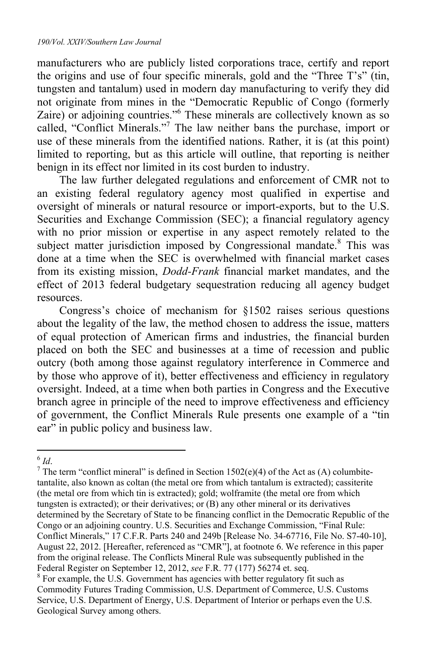manufacturers who are publicly listed corporations trace, certify and report the origins and use of four specific minerals, gold and the "Three T's" (tin, tungsten and tantalum) used in modern day manufacturing to verify they did not originate from mines in the "Democratic Republic of Congo (formerly Zaire) or adjoining countries."<sup>6</sup> These minerals are collectively known as so called, "Conflict Minerals."7 The law neither bans the purchase, import or use of these minerals from the identified nations. Rather, it is (at this point) limited to reporting, but as this article will outline, that reporting is neither benign in its effect nor limited in its cost burden to industry.

The law further delegated regulations and enforcement of CMR not to an existing federal regulatory agency most qualified in expertise and oversight of minerals or natural resource or import-exports, but to the U.S. Securities and Exchange Commission (SEC); a financial regulatory agency with no prior mission or expertise in any aspect remotely related to the subject matter jurisdiction imposed by Congressional mandate.<sup>8</sup> This was done at a time when the SEC is overwhelmed with financial market cases from its existing mission, *Dodd-Frank* financial market mandates, and the effect of 2013 federal budgetary sequestration reducing all agency budget resources.

Congress's choice of mechanism for §1502 raises serious questions about the legality of the law, the method chosen to address the issue, matters of equal protection of American firms and industries, the financial burden placed on both the SEC and businesses at a time of recession and public outcry (both among those against regulatory interference in Commerce and by those who approve of it), better effectiveness and efficiency in regulatory oversight. Indeed, at a time when both parties in Congress and the Executive branch agree in principle of the need to improve effectiveness and efficiency of government, the Conflict Minerals Rule presents one example of a "tin ear" in public policy and business law.

 $\overline{a}$  $^{6}$  *Id*.<br><sup>7</sup> The

<sup>&</sup>lt;sup>7</sup> The term "conflict mineral" is defined in Section 1502(e)(4) of the Act as (A) columbitetantalite, also known as coltan (the metal ore from which tantalum is extracted); cassiterite (the metal ore from which tin is extracted); gold; wolframite (the metal ore from which tungsten is extracted); or their derivatives; or (B) any other mineral or its derivatives determined by the Secretary of State to be financing conflict in the Democratic Republic of the Congo or an adjoining country. U.S. Securities and Exchange Commission, "Final Rule: Conflict Minerals," 17 C.F.R. Parts 240 and 249b [Release No. 34-67716, File No. S7-40-10], August 22, 2012. [Hereafter, referenced as "CMR"], at footnote 6. We reference in this paper from the original release. The Conflicts Mineral Rule was subsequently published in the Federal Register on September 12, 2012, *see* F.R. 77 (177) 56274 et. seq. 8

<sup>&</sup>lt;sup>8</sup> For example, the U.S. Government has agencies with better regulatory fit such as Commodity Futures Trading Commission, U.S. Department of Commerce, U.S. Customs Service, U.S. Department of Energy, U.S. Department of Interior or perhaps even the U.S. Geological Survey among others.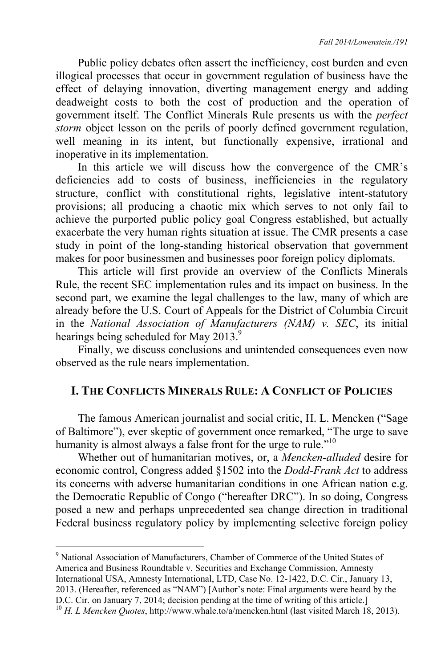Public policy debates often assert the inefficiency, cost burden and even illogical processes that occur in government regulation of business have the effect of delaying innovation, diverting management energy and adding deadweight costs to both the cost of production and the operation of government itself. The Conflict Minerals Rule presents us with the *perfect storm* object lesson on the perils of poorly defined government regulation, well meaning in its intent, but functionally expensive, irrational and inoperative in its implementation.

In this article we will discuss how the convergence of the CMR's deficiencies add to costs of business, inefficiencies in the regulatory structure, conflict with constitutional rights, legislative intent-statutory provisions; all producing a chaotic mix which serves to not only fail to achieve the purported public policy goal Congress established, but actually exacerbate the very human rights situation at issue. The CMR presents a case study in point of the long-standing historical observation that government makes for poor businessmen and businesses poor foreign policy diplomats.

This article will first provide an overview of the Conflicts Minerals Rule, the recent SEC implementation rules and its impact on business. In the second part, we examine the legal challenges to the law, many of which are already before the U.S. Court of Appeals for the District of Columbia Circuit in the *National Association of Manufacturers (NAM) v. SEC*, its initial hearings being scheduled for May 2013.<sup>9</sup>

Finally, we discuss conclusions and unintended consequences even now observed as the rule nears implementation.

#### **I. THE CONFLICTS MINERALS RULE: A CONFLICT OF POLICIES**

The famous American journalist and social critic, H. L. Mencken ("Sage of Baltimore"), ever skeptic of government once remarked, "The urge to save humanity is almost always a false front for the urge to rule."<sup>10</sup>

Whether out of humanitarian motives, or, a *Mencken*-*alluded* desire for economic control, Congress added §1502 into the *Dodd-Frank Act* to address its concerns with adverse humanitarian conditions in one African nation e.g. the Democratic Republic of Congo ("hereafter DRC"). In so doing, Congress posed a new and perhaps unprecedented sea change direction in traditional Federal business regulatory policy by implementing selective foreign policy

<sup>&</sup>lt;sup>9</sup> National Association of Manufacturers, Chamber of Commerce of the United States of America and Business Roundtable v. Securities and Exchange Commission, Amnesty International USA, Amnesty International, LTD, Case No. 12-1422, D.C. Cir., January 13, 2013. (Hereafter, referenced as "NAM") [Author's note: Final arguments were heard by the D.C. Cir. on January 7, 2014; decision pending at the time of writing of this article.] 10 *H. L Mencken Quotes*, http://www.whale.to/a/mencken.html (last visited March 18, 2013).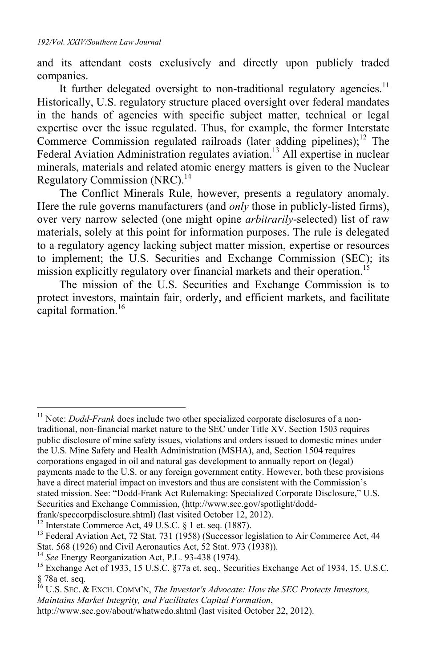and its attendant costs exclusively and directly upon publicly traded companies.

It further delegated oversight to non-traditional regulatory agencies.<sup>11</sup> Historically, U.S. regulatory structure placed oversight over federal mandates in the hands of agencies with specific subject matter, technical or legal expertise over the issue regulated. Thus, for example, the former Interstate Commerce Commission regulated railroads (later adding pipelines); $<sup>12</sup>$  The</sup> Federal Aviation Administration regulates aviation.<sup>13</sup> All expertise in nuclear minerals, materials and related atomic energy matters is given to the Nuclear Regulatory Commission (NRC).<sup>14</sup>

The Conflict Minerals Rule, however, presents a regulatory anomaly. Here the rule governs manufacturers (and *only* those in publicly-listed firms), over very narrow selected (one might opine *arbitrarily*-selected) list of raw materials, solely at this point for information purposes. The rule is delegated to a regulatory agency lacking subject matter mission, expertise or resources to implement; the U.S. Securities and Exchange Commission (SEC); its mission explicitly regulatory over financial markets and their operation.<sup>15</sup>

The mission of the U.S. Securities and Exchange Commission is to protect investors, maintain fair, orderly, and efficient markets, and facilitate capital formation.<sup>16</sup>

<sup>11</sup> Note: *Dodd-Frank* does include two other specialized corporate disclosures of a nontraditional, non-financial market nature to the SEC under Title XV. Section 1503 requires public disclosure of mine safety issues, violations and orders issued to domestic mines under the U.S. Mine Safety and Health Administration (MSHA), and, Section 1504 requires corporations engaged in oil and natural gas development to annually report on (legal) payments made to the U.S. or any foreign government entity. However, both these provisions have a direct material impact on investors and thus are consistent with the Commission's stated mission. See: "Dodd-Frank Act Rulemaking: Specialized Corporate Disclosure," U.S. Securities and Exchange Commission, (http://www.sec.gov/spotlight/dodd-frank/speccorpdisclosure.shtml) (last visited October 12, 2012).

<sup>&</sup>lt;sup>12</sup> Interstate Commerce Act, 49 U.S.C. § 1 et. seq. (1887). <sup>13</sup> Federal Aviation Act, 72 Stat. 731 (1958) (Successor legislation to Air Commerce Act, 44 Stat. 568 (1926) and Civil Aeronautics Act, 52 Stat. 973 (1938)). 14 *See* Energy Reorganization Act, P.L. 93-438 (1974). 15 Exchange Act of 1933, 15 U.S.C. §77a et. seq., Securities Exchange Act of 1934, 15. U.S.C.

<sup>§ 78</sup>a et. seq.

<sup>16</sup> U.S. SEC. & EXCH. COMM'N, *The Investor's Advocate: How the SEC Protects Investors, Maintains Market Integrity, and Facilitates Capital Formation*, http://www.sec.gov/about/whatwedo.shtml (last visited October 22, 2012).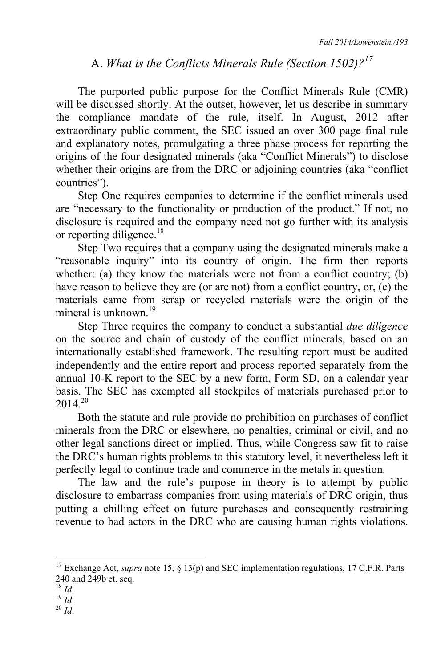# A. *What is the Conflicts Minerals Rule (Section 1502)?<sup>17</sup>*

The purported public purpose for the Conflict Minerals Rule (CMR) will be discussed shortly. At the outset, however, let us describe in summary the compliance mandate of the rule, itself. In August, 2012 after extraordinary public comment, the SEC issued an over 300 page final rule and explanatory notes, promulgating a three phase process for reporting the origins of the four designated minerals (aka "Conflict Minerals") to disclose whether their origins are from the DRC or adjoining countries (aka "conflict") countries").

Step One requires companies to determine if the conflict minerals used are "necessary to the functionality or production of the product." If not, no disclosure is required and the company need not go further with its analysis or reporting diligence.<sup>18</sup>

Step Two requires that a company using the designated minerals make a "reasonable inquiry" into its country of origin. The firm then reports whether: (a) they know the materials were not from a conflict country; (b) have reason to believe they are (or are not) from a conflict country, or, (c) the materials came from scrap or recycled materials were the origin of the mineral is unknown.<sup>19</sup>

Step Three requires the company to conduct a substantial *due diligence* on the source and chain of custody of the conflict minerals, based on an internationally established framework. The resulting report must be audited independently and the entire report and process reported separately from the annual 10-K report to the SEC by a new form, Form SD, on a calendar year basis. The SEC has exempted all stockpiles of materials purchased prior to  $2014^{20}$ 

Both the statute and rule provide no prohibition on purchases of conflict minerals from the DRC or elsewhere, no penalties, criminal or civil, and no other legal sanctions direct or implied. Thus, while Congress saw fit to raise the DRC's human rights problems to this statutory level, it nevertheless left it perfectly legal to continue trade and commerce in the metals in question.

The law and the rule's purpose in theory is to attempt by public disclosure to embarrass companies from using materials of DRC origin, thus putting a chilling effect on future purchases and consequently restraining revenue to bad actors in the DRC who are causing human rights violations.

<sup>&</sup>lt;sup>17</sup> Exchange Act, *supra* note 15, § 13(p) and SEC implementation regulations, 17 C.F.R. Parts 240 and 249b et. seq.  $^{18}$  *Id.* 

<sup>18</sup> *Id*. 19 *Id*. 20 *Id*.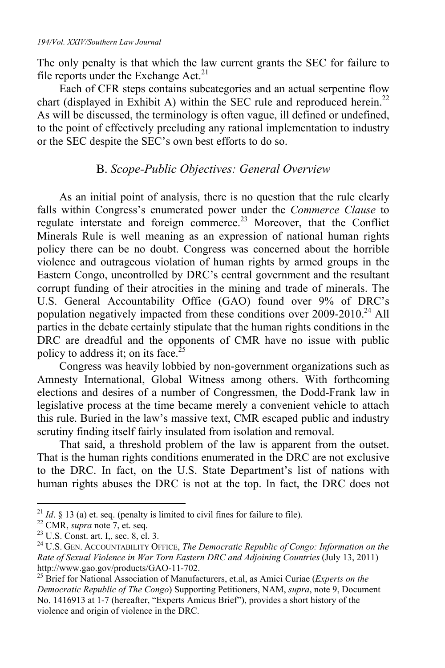The only penalty is that which the law current grants the SEC for failure to file reports under the Exchange  $Act.<sup>21</sup>$ 

Each of CFR steps contains subcategories and an actual serpentine flow chart (displayed in Exhibit A) within the SEC rule and reproduced herein.<sup>22</sup> As will be discussed, the terminology is often vague, ill defined or undefined, to the point of effectively precluding any rational implementation to industry or the SEC despite the SEC's own best efforts to do so.

# B. *Scope-Public Objectives: General Overview*

As an initial point of analysis, there is no question that the rule clearly falls within Congress's enumerated power under the *Commerce Clause* to regulate interstate and foreign commerce.<sup>23</sup> Moreover, that the Conflict Minerals Rule is well meaning as an expression of national human rights policy there can be no doubt. Congress was concerned about the horrible violence and outrageous violation of human rights by armed groups in the Eastern Congo, uncontrolled by DRC's central government and the resultant corrupt funding of their atrocities in the mining and trade of minerals. The U.S. General Accountability Office (GAO) found over 9% of DRC's population negatively impacted from these conditions over  $2009-2010$ <sup>24</sup> All parties in the debate certainly stipulate that the human rights conditions in the DRC are dreadful and the opponents of CMR have no issue with public policy to address it; on its face.<sup>2</sup>

Congress was heavily lobbied by non-government organizations such as Amnesty International, Global Witness among others. With forthcoming elections and desires of a number of Congressmen, the Dodd-Frank law in legislative process at the time became merely a convenient vehicle to attach this rule. Buried in the law's massive text, CMR escaped public and industry scrutiny finding itself fairly insulated from isolation and removal.

That said, a threshold problem of the law is apparent from the outset. That is the human rights conditions enumerated in the DRC are not exclusive to the DRC. In fact, on the U.S. State Department's list of nations with human rights abuses the DRC is not at the top. In fact, the DRC does not

<sup>&</sup>lt;sup>21</sup> *Id*. § 13 (a) et. seq. (penalty is limited to civil fines for failure to file).  $^{22}$  CMR, *supra* note 7, et. seq.  $^{23}$  U.S. Const. art. I<sub>1</sub>, sec. 8, cl. 3.

<sup>24</sup> U.S. GEN. ACCOUNTABILITY OFFICE, *The Democratic Republic of Congo: Information on the Rate of Sexual Violence in War Torn Eastern DRC and Adjoining Countries* (July 13, 2011) http://www.gao.gov/products/GAO-11-702.

<sup>25</sup> Brief for National Association of Manufacturers, et.al, as Amici Curiae (*Experts on the Democratic Republic of The Congo*) Supporting Petitioners, NAM, *supra*, note 9, Document No. 1416913 at 1-7 (hereafter, "Experts Amicus Brief"), provides a short history of the violence and origin of violence in the DRC.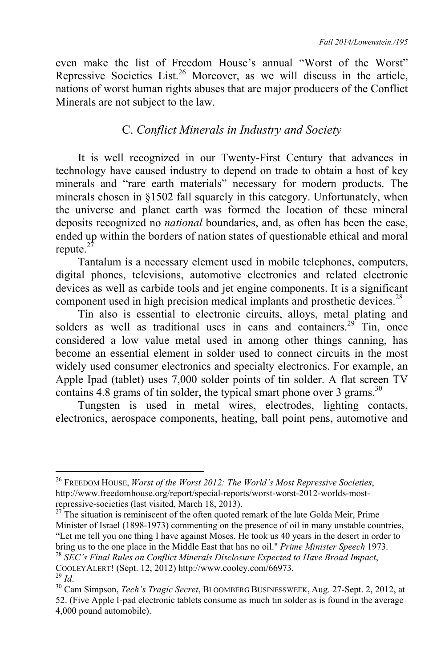even make the list of Freedom House's annual "Worst of the Worst" Repressive Societies List.<sup>26</sup> Moreover, as we will discuss in the article, nations of worst human rights abuses that are major producers of the Conflict Minerals are not subject to the law.

# C. *Conflict Minerals in Industry and Society*

It is well recognized in our Twenty-First Century that advances in technology have caused industry to depend on trade to obtain a host of key minerals and "rare earth materials" necessary for modern products. The minerals chosen in §1502 fall squarely in this category. Unfortunately, when the universe and planet earth was formed the location of these mineral deposits recognized no *national* boundaries, and, as often has been the case, ended up within the borders of nation states of questionable ethical and moral repute.<sup>27</sup>

Tantalum is a necessary element used in mobile telephones, computers, digital phones, televisions, automotive electronics and related electronic devices as well as carbide tools and jet engine components. It is a significant component used in high precision medical implants and prosthetic devices.<sup>28</sup>

Tin also is essential to electronic circuits, alloys, metal plating and solders as well as traditional uses in cans and containers.<sup>29</sup> Tin, once considered a low value metal used in among other things canning, has become an essential element in solder used to connect circuits in the most widely used consumer electronics and specialty electronics. For example, an Apple Ipad (tablet) uses 7,000 solder points of tin solder. A flat screen TV contains 4.8 grams of tin solder, the typical smart phone over 3 grams.<sup>30</sup>

Tungsten is used in metal wires, electrodes, lighting contacts, electronics, aerospace components, heating, ball point pens, automotive and

Minister of Israel (1898-1973) commenting on the presence of oil in many unstable countries, "Let me tell you one thing I have against Moses. He took us 40 years in the desert in order to bring us to the one place in the Middle East that has no oil." *Prime Minister Speech* 1973. 28 *SEC's Final Rules on Conflict Minerals Disclosure Expected to Have Broad Impact*,

<sup>26</sup> FREEDOM HOUSE, *Worst of the Worst 2012: The World's Most Repressive Societies*, http://www.freedomhouse.org/report/special-reports/worst-worst-2012-worlds-mostrepressive-societies (last visited, March 18, 2013). 27 The situation is reminiscent of the often quoted remark of the late Golda Meir, Prime

COOLEYALERT! (Sept. 12, 2012) http://www.cooley.com/66973.<br><sup>29</sup> *Id.* 30 Cam Simpson, *Tech's Tragic Secret*, BLOOMBERG BUSINESSWEEK, Aug. 27-Sept. 2, 2012, at

<sup>52. (</sup>Five Apple I-pad electronic tablets consume as much tin solder as is found in the average 4,000 pound automobile).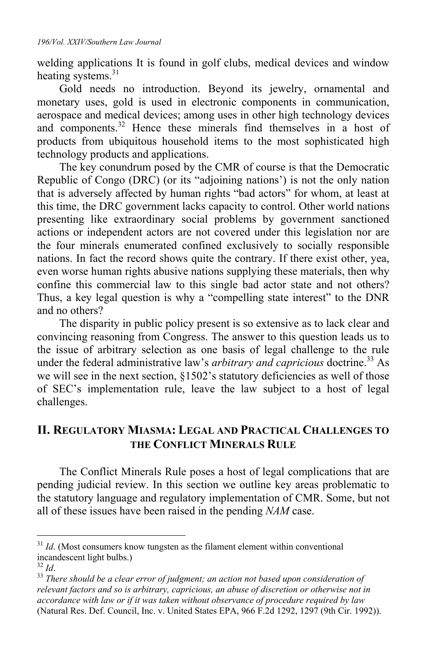welding applications It is found in golf clubs, medical devices and window heating systems. $31$ 

Gold needs no introduction. Beyond its jewelry, ornamental and monetary uses, gold is used in electronic components in communication, aerospace and medical devices; among uses in other high technology devices and components.<sup>32</sup> Hence these minerals find themselves in a host of products from ubiquitous household items to the most sophisticated high technology products and applications.

The key conundrum posed by the CMR of course is that the Democratic Republic of Congo (DRC) (or its "adjoining nations') is not the only nation that is adversely affected by human rights "bad actors" for whom, at least at this time, the DRC government lacks capacity to control. Other world nations presenting like extraordinary social problems by government sanctioned actions or independent actors are not covered under this legislation nor are the four minerals enumerated confined exclusively to socially responsible nations. In fact the record shows quite the contrary. If there exist other, yea, even worse human rights abusive nations supplying these materials, then why confine this commercial law to this single bad actor state and not others? Thus, a key legal question is why a "compelling state interest" to the DNR and no others?

The disparity in public policy present is so extensive as to lack clear and convincing reasoning from Congress. The answer to this question leads us to the issue of arbitrary selection as one basis of legal challenge to the rule under the federal administrative law's *arbitrary and capricious* doctrine.<sup>33</sup> As we will see in the next section, §1502's statutory deficiencies as well of those of SEC's implementation rule, leave the law subject to a host of legal challenges.

# **II. REGULATORY MIASMA: LEGAL AND PRACTICAL CHALLENGES TO THE CONFLICT MINERALS RULE**

The Conflict Minerals Rule poses a host of legal complications that are pending judicial review. In this section we outline key areas problematic to the statutory language and regulatory implementation of CMR. Some, but not all of these issues have been raised in the pending *NAM* case.

<sup>&</sup>lt;sup>31</sup> *Id.* (Most consumers know tungsten as the filament element within conventional incandescent light bulbs.)<br> $^{32}$  *Id.* 

<sup>&</sup>lt;sup>33</sup> *There should be a clear error of judgment; an action not based upon consideration of relevant factors and so is arbitrary, capricious, an abuse of discretion or otherwise not in accordance with law or if it was taken without observance of procedure required by law* (Natural Res. Def. Council, Inc. v. United States EPA, 966 F.2d 1292, 1297 (9th Cir. 1992)).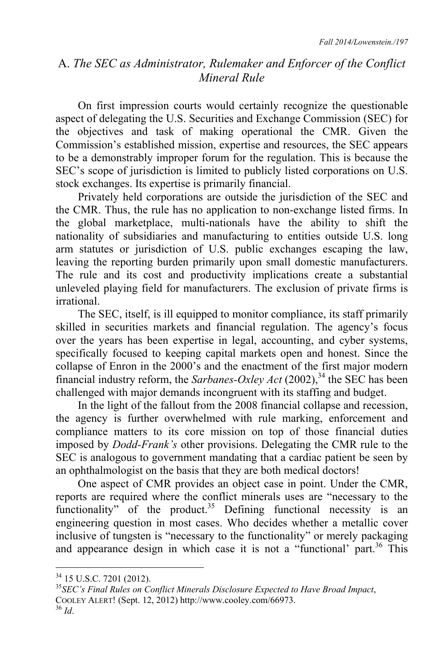# A. *The SEC as Administrator, Rulemaker and Enforcer of the Conflict Mineral Rule*

On first impression courts would certainly recognize the questionable aspect of delegating the U.S. Securities and Exchange Commission (SEC) for the objectives and task of making operational the CMR. Given the Commission's established mission, expertise and resources, the SEC appears to be a demonstrably improper forum for the regulation. This is because the SEC's scope of jurisdiction is limited to publicly listed corporations on U.S. stock exchanges. Its expertise is primarily financial.

Privately held corporations are outside the jurisdiction of the SEC and the CMR. Thus, the rule has no application to non-exchange listed firms. In the global marketplace, multi-nationals have the ability to shift the nationality of subsidiaries and manufacturing to entities outside U.S. long arm statutes or jurisdiction of U.S. public exchanges escaping the law, leaving the reporting burden primarily upon small domestic manufacturers. The rule and its cost and productivity implications create a substantial unleveled playing field for manufacturers. The exclusion of private firms is irrational.

The SEC, itself, is ill equipped to monitor compliance, its staff primarily skilled in securities markets and financial regulation. The agency's focus over the years has been expertise in legal, accounting, and cyber systems, specifically focused to keeping capital markets open and honest. Since the collapse of Enron in the 2000's and the enactment of the first major modern financial industry reform, the *Sarbanes-Oxley Act* (2002),<sup>34</sup> the SEC has been challenged with major demands incongruent with its staffing and budget.

In the light of the fallout from the 2008 financial collapse and recession, the agency is further overwhelmed with rule marking, enforcement and compliance matters to its core mission on top of those financial duties imposed by *Dodd-Frank's* other provisions. Delegating the CMR rule to the SEC is analogous to government mandating that a cardiac patient be seen by an ophthalmologist on the basis that they are both medical doctors!

One aspect of CMR provides an object case in point. Under the CMR, reports are required where the conflict minerals uses are "necessary to the functionality" of the product. $35$  Defining functional necessity is an engineering question in most cases. Who decides whether a metallic cover inclusive of tungsten is "necessary to the functionality" or merely packaging and appearance design in which case it is not a "functional' part.<sup>36</sup> This

<sup>34 15</sup> U.S.C. 7201 (2012).

<sup>35</sup>*SEC's Final Rules on Conflict Minerals Disclosure Expected to Have Broad Impact*, COOLEY ALERT! (Sept. 12, 2012) http://www.cooley.com/66973. 36 *Id*.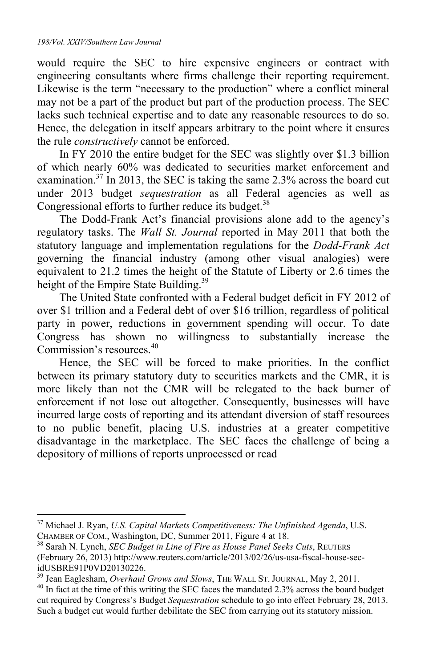$\overline{a}$ 

would require the SEC to hire expensive engineers or contract with engineering consultants where firms challenge their reporting requirement. Likewise is the term "necessary to the production" where a conflict mineral may not be a part of the product but part of the production process. The SEC lacks such technical expertise and to date any reasonable resources to do so. Hence, the delegation in itself appears arbitrary to the point where it ensures the rule *constructively* cannot be enforced.

In FY 2010 the entire budget for the SEC was slightly over \$1.3 billion of which nearly 60% was dedicated to securities market enforcement and examination.<sup>37</sup> In 2013, the SEC is taking the same 2.3% across the board cut under 2013 budget *sequestration* as all Federal agencies as well as Congressional efforts to further reduce its budget. $38$ 

The Dodd-Frank Act's financial provisions alone add to the agency's regulatory tasks. The *Wall St. Journal* reported in May 2011 that both the statutory language and implementation regulations for the *Dodd-Frank Act* governing the financial industry (among other visual analogies) were equivalent to 21.2 times the height of the Statute of Liberty or 2.6 times the height of the Empire State Building.<sup>39</sup>

The United State confronted with a Federal budget deficit in FY 2012 of over \$1 trillion and a Federal debt of over \$16 trillion, regardless of political party in power, reductions in government spending will occur. To date Congress has shown no willingness to substantially increase the Commission's resources.<sup>40</sup>

Hence, the SEC will be forced to make priorities. In the conflict between its primary statutory duty to securities markets and the CMR, it is more likely than not the CMR will be relegated to the back burner of enforcement if not lose out altogether. Consequently, businesses will have incurred large costs of reporting and its attendant diversion of staff resources to no public benefit, placing U.S. industries at a greater competitive disadvantage in the marketplace. The SEC faces the challenge of being a depository of millions of reports unprocessed or read

<sup>37</sup> Michael J. Ryan, *U.S. Capital Markets Competitiveness: The Unfinished Agenda*, U.S. CHAMBER OF COM., Washington, DC, Summer 2011, Figure 4 at 18. 38 Sarah N. Lynch, *SEC Budget in Line of Fire as House Panel Seeks Cuts*, REUTERS

<sup>(</sup>February 26, 2013) http://www.reuters.com/article/2013/02/26/us-usa-fiscal-house-secidUSBRE91P0VD20130226.<br><sup>39</sup> Jean Eaglesham, *Overhaul Grows and Slows*, THE WALL ST. JOURNAL, May 2, 2011.

<sup>&</sup>lt;sup>40</sup> In fact at the time of this writing the SEC faces the mandated 2.3% across the board budget cut required by Congress's Budget *Sequestration* schedule to go into effect February 28, 2013. Such a budget cut would further debilitate the SEC from carrying out its statutory mission.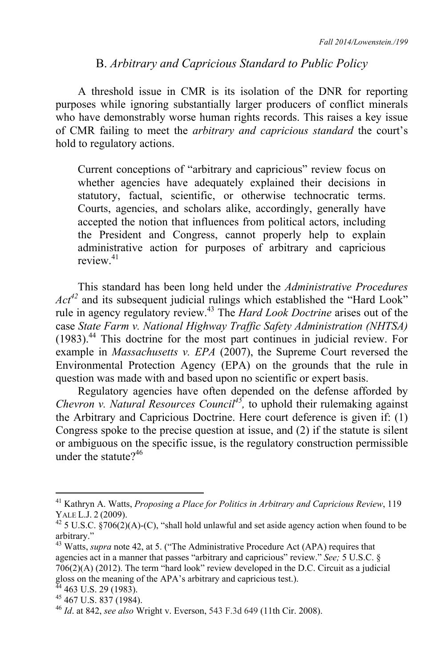#### B. *Arbitrary and Capricious Standard to Public Policy*

A threshold issue in CMR is its isolation of the DNR for reporting purposes while ignoring substantially larger producers of conflict minerals who have demonstrably worse human rights records. This raises a key issue of CMR failing to meet the *arbitrary and capricious standard* the court's hold to regulatory actions.

Current conceptions of "arbitrary and capricious" review focus on whether agencies have adequately explained their decisions in statutory, factual, scientific, or otherwise technocratic terms. Courts, agencies, and scholars alike, accordingly, generally have accepted the notion that influences from political actors, including the President and Congress, cannot properly help to explain administrative action for purposes of arbitrary and capricious review<sup>41</sup>

This standard has been long held under the *Administrative Procedures Act<sup>42</sup>* and its subsequent judicial rulings which established the "Hard Look" rule in agency regulatory review.43 The *Hard Look Doctrine* arises out of the case *State Farm v. National Highway Traffic Safety Administration (NHTSA)* (1983).44 This doctrine for the most part continues in judicial review. For example in *Massachusetts v. EPA* (2007), the Supreme Court reversed the Environmental Protection Agency (EPA) on the grounds that the rule in question was made with and based upon no scientific or expert basis.

Regulatory agencies have often depended on the defense afforded by *Chevron v. Natural Resources Council45,* to uphold their rulemaking against the Arbitrary and Capricious Doctrine. Here court deference is given if: (1) Congress spoke to the precise question at issue, and (2) if the statute is silent or ambiguous on the specific issue, is the regulatory construction permissible under the statute $2^{46}$ 

<sup>41</sup> Kathryn A. Watts, *Proposing a Place for Politics in Arbitrary and Capricious Review*, 119 YALE L.J. 2 (2009).<br><sup>42</sup> 5 U.S.C. §706(2)(A)-(C), "shall hold unlawful and set aside agency action when found to be

arbitrary."

<sup>43</sup> Watts, *supra* note 42, at 5. ("The Administrative Procedure Act (APA) requires that agencies act in a manner that passes "arbitrary and capricious" review." *See;* 5 U.S.C. § 706(2)(A) (2012). The term "hard look" review developed in the D.C. Circuit as a judicial gloss on the meaning of the APA's arbitrary and capricious test.). 44 463 U.S. 29 (1983).

 $45$  467 U.S. 837 (1984).

<sup>46</sup> *Id*. at 842, *see also* Wright v. Everson, 543 F.3d 649 (11th Cir. 2008).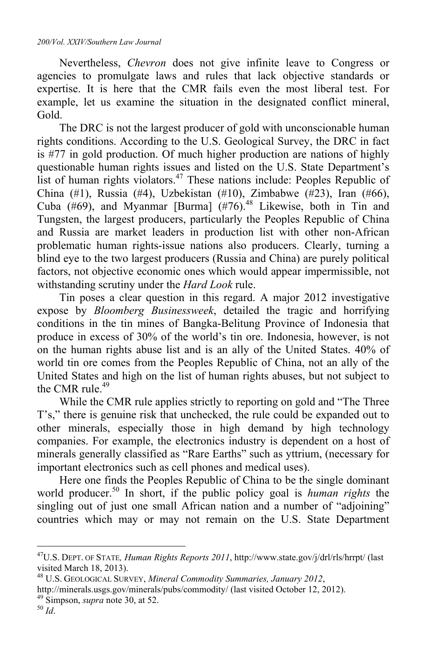Nevertheless, *Chevron* does not give infinite leave to Congress or agencies to promulgate laws and rules that lack objective standards or expertise. It is here that the CMR fails even the most liberal test. For example, let us examine the situation in the designated conflict mineral, Gold.

The DRC is not the largest producer of gold with unconscionable human rights conditions. According to the U.S. Geological Survey, the DRC in fact is  $#77$  in gold production. Of much higher production are nations of highly questionable human rights issues and listed on the U.S. State Department's list of human rights violators.<sup>47</sup> These nations include: Peoples Republic of China (#1), Russia (#4), Uzbekistan (#10), Zimbabwe (#23), Iran (#66), Cuba  $(\#69)$ , and Myanmar [Burma]  $(\#76)$ .<sup>48</sup> Likewise, both in Tin and Tungsten, the largest producers, particularly the Peoples Republic of China and Russia are market leaders in production list with other non-African problematic human rights-issue nations also producers. Clearly, turning a blind eye to the two largest producers (Russia and China) are purely political factors, not objective economic ones which would appear impermissible, not withstanding scrutiny under the *Hard Look* rule.

Tin poses a clear question in this regard. A major 2012 investigative expose by *Bloomberg Businessweek*, detailed the tragic and horrifying conditions in the tin mines of Bangka-Belitung Province of Indonesia that produce in excess of 30% of the world's tin ore. Indonesia, however, is not on the human rights abuse list and is an ally of the United States. 40% of world tin ore comes from the Peoples Republic of China, not an ally of the United States and high on the list of human rights abuses, but not subject to the CMR rule. $49$ 

While the CMR rule applies strictly to reporting on gold and "The Three T's," there is genuine risk that unchecked, the rule could be expanded out to other minerals, especially those in high demand by high technology companies. For example, the electronics industry is dependent on a host of minerals generally classified as "Rare Earths" such as yttrium, (necessary for important electronics such as cell phones and medical uses).

Here one finds the Peoples Republic of China to be the single dominant world producer.50 In short, if the public policy goal is *human rights* the singling out of just one small African nation and a number of "adjoining" countries which may or may not remain on the U.S. State Department

<sup>47</sup>U.S. DEPT. OF STATE*, Human Rights Reports 2011*, http://www.state.gov/j/drl/rls/hrrpt/ (last visited March 18, 2013).

<sup>48</sup> U.S. GEOLOGICAL SURVEY, *Mineral Commodity Summaries, January 2012*, http://minerals.usgs.gov/minerals/pubs/commodity/ (last visited October 12, 2012). 49 Simpson, *supra* note 30, at 52. 50 *Id*.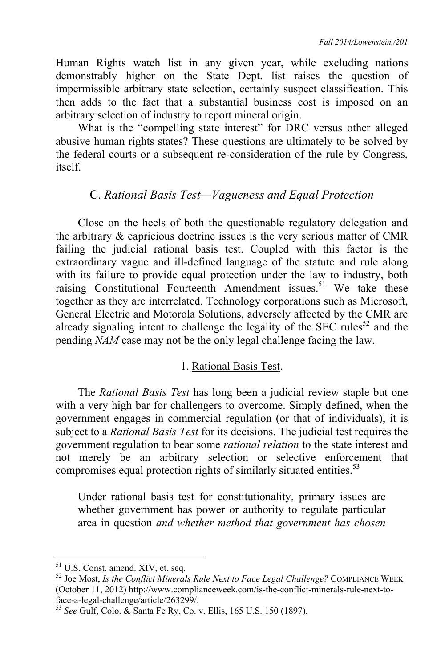Human Rights watch list in any given year, while excluding nations demonstrably higher on the State Dept. list raises the question of impermissible arbitrary state selection, certainly suspect classification. This then adds to the fact that a substantial business cost is imposed on an arbitrary selection of industry to report mineral origin.

What is the "compelling state interest" for DRC versus other alleged abusive human rights states? These questions are ultimately to be solved by the federal courts or a subsequent re-consideration of the rule by Congress, itself.

# C. *Rational Basis Test—Vagueness and Equal Protection*

Close on the heels of both the questionable regulatory delegation and the arbitrary & capricious doctrine issues is the very serious matter of CMR failing the judicial rational basis test. Coupled with this factor is the extraordinary vague and ill-defined language of the statute and rule along with its failure to provide equal protection under the law to industry, both raising Constitutional Fourteenth Amendment issues.<sup>51</sup> We take these together as they are interrelated. Technology corporations such as Microsoft, General Electric and Motorola Solutions, adversely affected by the CMR are already signaling intent to challenge the legality of the SEC rules<sup>52</sup> and the pending *NAM* case may not be the only legal challenge facing the law.

# 1. Rational Basis Test.

The *Rational Basis Test* has long been a judicial review staple but one with a very high bar for challengers to overcome. Simply defined, when the government engages in commercial regulation (or that of individuals), it is subject to a *Rational Basis Test* for its decisions. The judicial test requires the government regulation to bear some *rational relation* to the state interest and not merely be an arbitrary selection or selective enforcement that compromises equal protection rights of similarly situated entities.<sup>53</sup>

Under rational basis test for constitutionality, primary issues are whether government has power or authority to regulate particular area in question *and whether method that government has chosen* 

<sup>51</sup> U.S. Const. amend. XIV, et. seq.

<sup>&</sup>lt;sup>52</sup> Joe Most, *Is the Conflict Minerals Rule Next to Face Legal Challenge?* COMPLIANCE WEEK (October 11, 2012) http://www.complianceweek.com/is-the-conflict-minerals-rule-next-toface-a-legal-challenge/article/263299/.

<sup>53</sup> *See* Gulf, Colo. & Santa Fe Ry. Co. v. Ellis, 165 U.S. 150 (1897).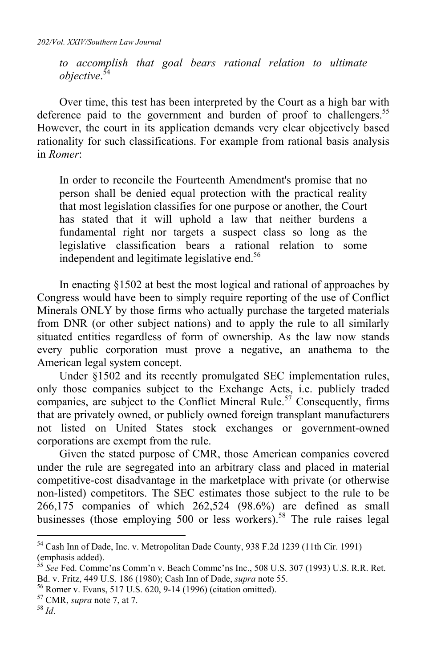*to accomplish that goal bears rational relation to ultimate objective*. 54

Over time, this test has been interpreted by the Court as a high bar with deference paid to the government and burden of proof to challengers.<sup>55</sup> However, the court in its application demands very clear objectively based rationality for such classifications. For example from rational basis analysis in *Romer*:

In order to reconcile the Fourteenth Amendment's promise that no person shall be denied equal protection with the practical reality that most legislation classifies for one purpose or another, the Court has stated that it will uphold a law that neither burdens a fundamental right nor targets a suspect class so long as the legislative classification bears a rational relation to some independent and legitimate legislative end.<sup>56</sup>

In enacting §1502 at best the most logical and rational of approaches by Congress would have been to simply require reporting of the use of Conflict Minerals ONLY by those firms who actually purchase the targeted materials from DNR (or other subject nations) and to apply the rule to all similarly situated entities regardless of form of ownership. As the law now stands every public corporation must prove a negative, an anathema to the American legal system concept.

Under §1502 and its recently promulgated SEC implementation rules, only those companies subject to the Exchange Acts, i.e. publicly traded companies, are subject to the Conflict Mineral Rule.<sup>57</sup> Consequently, firms that are privately owned, or publicly owned foreign transplant manufacturers not listed on United States stock exchanges or government-owned corporations are exempt from the rule.

Given the stated purpose of CMR, those American companies covered under the rule are segregated into an arbitrary class and placed in material competitive-cost disadvantage in the marketplace with private (or otherwise non-listed) competitors. The SEC estimates those subject to the rule to be 266,175 companies of which 262,524 (98.6%) are defined as small businesses (those employing 500 or less workers).<sup>58</sup> The rule raises legal

<sup>&</sup>lt;sup>54</sup> Cash Inn of Dade, Inc. v. Metropolitan Dade County, 938 F.2d 1239 (11th Cir. 1991) (emphasis added).

<sup>55</sup> *See* Fed. Commc'ns Comm'n v. Beach Commc'ns Inc., 508 U.S. 307 (1993) U.S. R.R. Ret. Bd. v. Fritz, 449 U.S. 186 (1980); Cash Inn of Dade, *supra* note 55.<br><sup>56</sup> Romer v. Evans, 517 U.S. 620, 9-14 (1996) (citation omitted).<br><sup>57</sup> CMR, *supra* note 7, at 7.<br><sup>58</sup> *Id*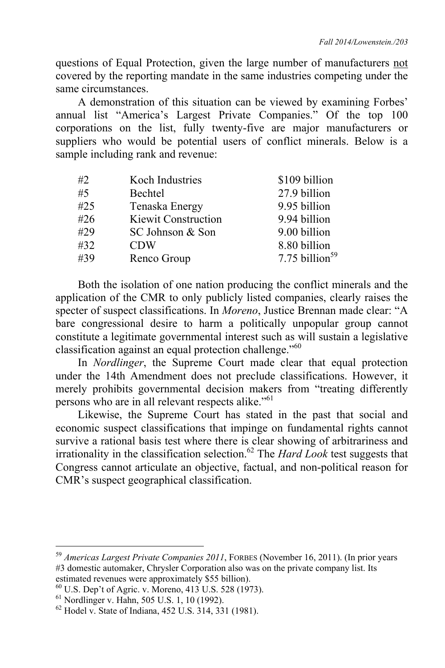questions of Equal Protection, given the large number of manufacturers not covered by the reporting mandate in the same industries competing under the same circumstances.

A demonstration of this situation can be viewed by examining Forbes' annual list "America's Largest Private Companies." Of the top 100 corporations on the list, fully twenty-five are major manufacturers or suppliers who would be potential users of conflict minerals. Below is a sample including rank and revenue:

| #2  | Koch Industries            | \$109 billion              |
|-----|----------------------------|----------------------------|
| #5  | Bechtel                    | 27.9 billion               |
| #25 | Tenaska Energy             | 9.95 billion               |
| #26 | <b>Kiewit Construction</b> | 9.94 billion               |
| #29 | SC Johnson & Son           | 9.00 billion               |
| #32 | <b>CDW</b>                 | 8.80 billion               |
| #39 | Renco Group                | 7.75 billion <sup>59</sup> |

Both the isolation of one nation producing the conflict minerals and the application of the CMR to only publicly listed companies, clearly raises the specter of suspect classifications. In *Moreno*, Justice Brennan made clear: "A bare congressional desire to harm a politically unpopular group cannot constitute a legitimate governmental interest such as will sustain a legislative classification against an equal protection challenge."60

In *Nordlinger*, the Supreme Court made clear that equal protection under the 14th Amendment does not preclude classifications. However, it merely prohibits governmental decision makers from "treating differently persons who are in all relevant respects alike."61

Likewise, the Supreme Court has stated in the past that social and economic suspect classifications that impinge on fundamental rights cannot survive a rational basis test where there is clear showing of arbitrariness and irrationality in the classification selection.62 The *Hard Look* test suggests that Congress cannot articulate an objective, factual, and non-political reason for CMR's suspect geographical classification.

<sup>59</sup> *Americas Largest Private Companies 2011*, FORBES (November 16, 2011). (In prior years #3 domestic automaker, Chrysler Corporation also was on the private company list. Its estimated revenues were approximately \$55 billion).

 $^{60}$  U.S. Dep't of Agric. v. Moreno, 413 U.S. 528 (1973).

<sup>61</sup> Nordlinger v. Hahn, 505 U.S. 1, 10 (1992).

<sup>62</sup> Hodel v. State of Indiana, 452 U.S. 314, 331 (1981).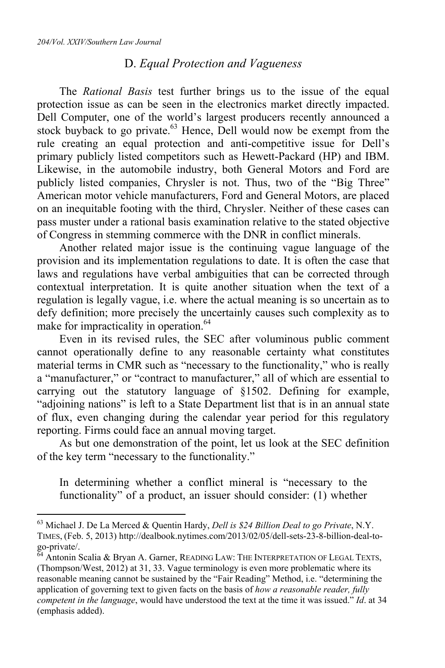$\overline{a}$ 

#### D. *Equal Protection and Vagueness*

The *Rational Basis* test further brings us to the issue of the equal protection issue as can be seen in the electronics market directly impacted. Dell Computer, one of the world's largest producers recently announced a stock buyback to go private.<sup>63</sup> Hence, Dell would now be exempt from the rule creating an equal protection and anti-competitive issue for Dell's primary publicly listed competitors such as Hewett-Packard (HP) and IBM. Likewise, in the automobile industry, both General Motors and Ford are publicly listed companies, Chrysler is not. Thus, two of the "Big Three" American motor vehicle manufacturers, Ford and General Motors, are placed on an inequitable footing with the third, Chrysler. Neither of these cases can pass muster under a rational basis examination relative to the stated objective of Congress in stemming commerce with the DNR in conflict minerals.

Another related major issue is the continuing vague language of the provision and its implementation regulations to date. It is often the case that laws and regulations have verbal ambiguities that can be corrected through contextual interpretation. It is quite another situation when the text of a regulation is legally vague, i.e. where the actual meaning is so uncertain as to defy definition; more precisely the uncertainly causes such complexity as to make for impracticality in operation.<sup>64</sup>

Even in its revised rules, the SEC after voluminous public comment cannot operationally define to any reasonable certainty what constitutes material terms in CMR such as "necessary to the functionality," who is really a "manufacturer," or "contract to manufacturer," all of which are essential to carrying out the statutory language of §1502. Defining for example, "adjoining nations" is left to a State Department list that is in an annual state of flux, even changing during the calendar year period for this regulatory reporting. Firms could face an annual moving target.

As but one demonstration of the point, let us look at the SEC definition of the key term "necessary to the functionality."

In determining whether a conflict mineral is "necessary to the functionality" of a product, an issuer should consider: (1) whether

<sup>63</sup> Michael J. De La Merced & Quentin Hardy, *Dell is \$24 Billion Deal to go Private*, N.Y. TIMES, (Feb. 5, 2013) http://dealbook.nytimes.com/2013/02/05/dell-sets-23-8-billion-deal-togo-private/.

<sup>&</sup>lt;sup>64</sup> Antonin Scalia & Bryan A. Garner, READING LAW: THE INTERPRETATION OF LEGAL TEXTS, (Thompson/West, 2012) at 31, 33. Vague terminology is even more problematic where its reasonable meaning cannot be sustained by the "Fair Reading" Method, i.e. "determining the application of governing text to given facts on the basis of *how a reasonable reader, fully competent in the language*, would have understood the text at the time it was issued." *Id*. at 34 (emphasis added).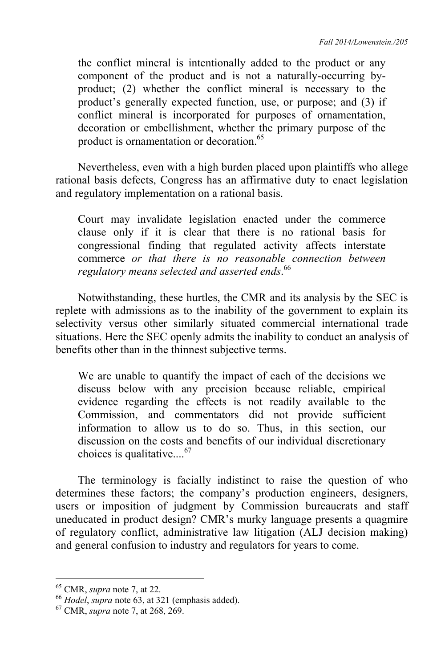the conflict mineral is intentionally added to the product or any component of the product and is not a naturally-occurring byproduct; (2) whether the conflict mineral is necessary to the product's generally expected function, use, or purpose; and (3) if conflict mineral is incorporated for purposes of ornamentation, decoration or embellishment, whether the primary purpose of the product is ornamentation or decoration.<sup>65</sup>

Nevertheless, even with a high burden placed upon plaintiffs who allege rational basis defects, Congress has an affirmative duty to enact legislation and regulatory implementation on a rational basis.

Court may invalidate legislation enacted under the commerce clause only if it is clear that there is no rational basis for congressional finding that regulated activity affects interstate commerce *or that there is no reasonable connection between regulatory means selected and asserted ends*. 66

Notwithstanding, these hurtles, the CMR and its analysis by the SEC is replete with admissions as to the inability of the government to explain its selectivity versus other similarly situated commercial international trade situations. Here the SEC openly admits the inability to conduct an analysis of benefits other than in the thinnest subjective terms.

We are unable to quantify the impact of each of the decisions we discuss below with any precision because reliable, empirical evidence regarding the effects is not readily available to the Commission, and commentators did not provide sufficient information to allow us to do so. Thus, in this section, our discussion on the costs and benefits of our individual discretionary choices is qualitative....<sup>67</sup>

The terminology is facially indistinct to raise the question of who determines these factors; the company's production engineers, designers, users or imposition of judgment by Commission bureaucrats and staff uneducated in product design? CMR's murky language presents a quagmire of regulatory conflict, administrative law litigation (ALJ decision making) and general confusion to industry and regulators for years to come.

<sup>65</sup> CMR, *supra* note 7, at 22. 66 *Hodel*, *supra* note 63, at 321 (emphasis added). 67 CMR, *supra* note 7, at 268, 269.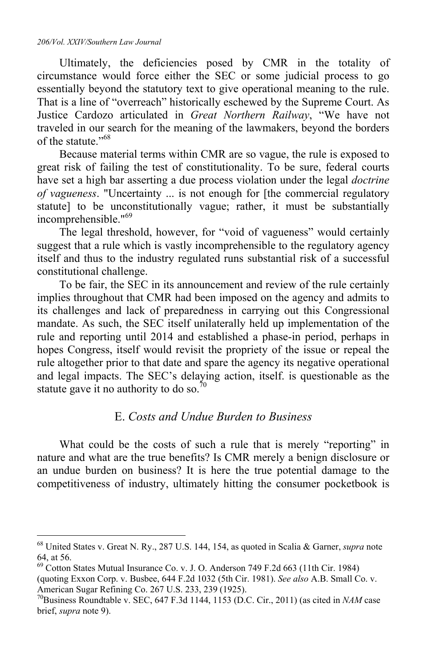#### *206/Vol. XXIV/Southern Law Journal*

 $\overline{a}$ 

Ultimately, the deficiencies posed by CMR in the totality of circumstance would force either the SEC or some judicial process to go essentially beyond the statutory text to give operational meaning to the rule. That is a line of "overreach" historically eschewed by the Supreme Court. As Justice Cardozo articulated in *Great Northern Railway*, "We have not traveled in our search for the meaning of the lawmakers, beyond the borders of the statute."<sup>68</sup>

Because material terms within CMR are so vague, the rule is exposed to great risk of failing the test of constitutionality. To be sure, federal courts have set a high bar asserting a due process violation under the legal *doctrine of vagueness*. "Uncertainty ... is not enough for [the commercial regulatory statute] to be unconstitutionally vague; rather, it must be substantially incomprehensible."<sup>69</sup>

The legal threshold, however, for "void of vagueness" would certainly suggest that a rule which is vastly incomprehensible to the regulatory agency itself and thus to the industry regulated runs substantial risk of a successful constitutional challenge.

To be fair, the SEC in its announcement and review of the rule certainly implies throughout that CMR had been imposed on the agency and admits to its challenges and lack of preparedness in carrying out this Congressional mandate. As such, the SEC itself unilaterally held up implementation of the rule and reporting until 2014 and established a phase-in period, perhaps in hopes Congress, itself would revisit the propriety of the issue or repeal the rule altogether prior to that date and spare the agency its negative operational and legal impacts. The SEC's delaying action, itself. is questionable as the statute gave it no authority to do so.<sup>70</sup>

## E. *Costs and Undue Burden to Business*

What could be the costs of such a rule that is merely "reporting" in nature and what are the true benefits? Is CMR merely a benign disclosure or an undue burden on business? It is here the true potential damage to the competitiveness of industry, ultimately hitting the consumer pocketbook is

<sup>68</sup> United States v. Great N. Ry., 287 U.S. 144, 154, as quoted in Scalia & Garner, *supra* note 64, at 56.

<sup>69</sup> Cotton States Mutual Insurance Co. v. J. O. Anderson 749 F.2d 663 (11th Cir. 1984)

<sup>(</sup>quoting Exxon Corp. v. Busbee, 644 F.2d 1032 (5th Cir. 1981). *See also* A.B. Small Co. v. American Sugar Refining Co. 267 U.S. 233, 239 (1925).

<sup>70</sup>Business Roundtable v. SEC, 647 F.3d 1144, 1153 (D.C. Cir., 2011) (as cited in *NAM* case brief, *supra* note 9).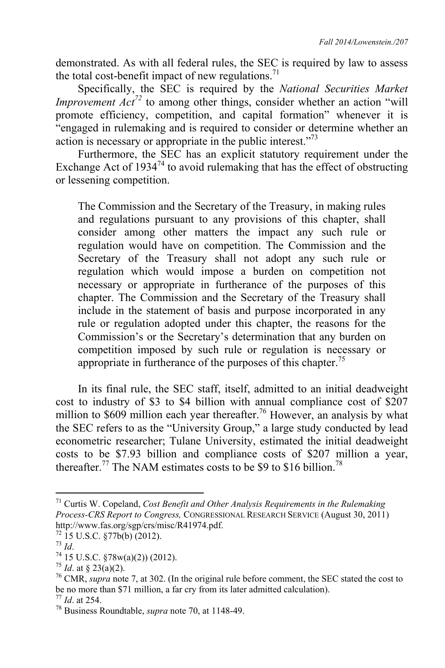demonstrated. As with all federal rules, the SEC is required by law to assess the total cost-benefit impact of new regulations.<sup>71</sup>

Specifically, the SEC is required by the *National Securities Market Improvement Act<sup>72</sup>* to among other things, consider whether an action "will promote efficiency, competition, and capital formation" whenever it is "engaged in rulemaking and is required to consider or determine whether an action is necessary or appropriate in the public interest."73

Furthermore, the SEC has an explicit statutory requirement under the Exchange Act of  $1934^{74}$  to avoid rulemaking that has the effect of obstructing or lessening competition.

The Commission and the Secretary of the Treasury, in making rules and regulations pursuant to any provisions of this chapter, shall consider among other matters the impact any such rule or regulation would have on competition. The Commission and the Secretary of the Treasury shall not adopt any such rule or regulation which would impose a burden on competition not necessary or appropriate in furtherance of the purposes of this chapter. The Commission and the Secretary of the Treasury shall include in the statement of basis and purpose incorporated in any rule or regulation adopted under this chapter, the reasons for the Commission's or the Secretary's determination that any burden on competition imposed by such rule or regulation is necessary or appropriate in furtherance of the purposes of this chapter.<sup>75</sup>

In its final rule, the SEC staff, itself, admitted to an initial deadweight cost to industry of \$3 to \$4 billion with annual compliance cost of \$207 million to  $$609$  million each year thereafter.<sup>76</sup> However, an analysis by what the SEC refers to as the "University Group," a large study conducted by lead econometric researcher; Tulane University, estimated the initial deadweight costs to be \$7.93 billion and compliance costs of \$207 million a year, thereafter.<sup>77</sup> The NAM estimates costs to be \$9 to \$16 billion.<sup>78</sup>

<sup>71</sup> Curtis W. Copeland, *Cost Benefit and Other Analysis Requirements in the Rulemaking Process-CRS Report to Congress,* CONGRESSIONAL RESEARCH SERVICE (August 30, 2011) http://www.fas.org/sgp/crs/misc/R41974.pdf.<br><sup>72</sup> 15 U.S.C. §77b(b) (2012).<br><sup>73</sup> Id

<sup>&</sup>lt;sup>74</sup> 15 U.S.C. §78w(a)(2)) (2012).<br><sup>75</sup> *Id*. at § 23(a)(2).

<sup>&</sup>lt;sup>76</sup> CMR, *supra* note 7, at 302. (In the original rule before comment, the SEC stated the cost to be no more than \$71 million, a far cry from its later admitted calculation). 77 *Id*. at 254. 78 Business Roundtable, *supra* note 70, at 1148-49.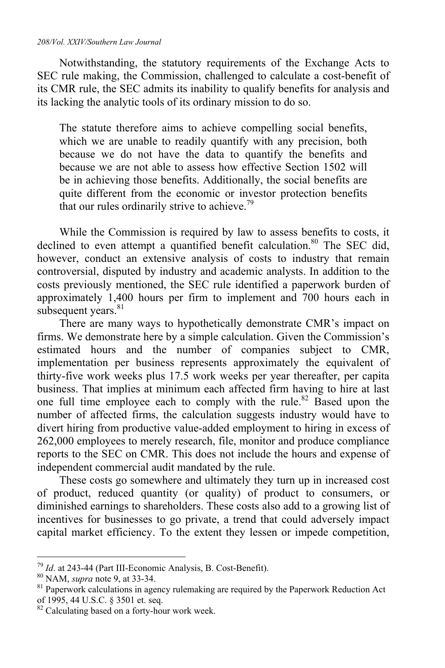#### *208/Vol. XXIV/Southern Law Journal*

Notwithstanding, the statutory requirements of the Exchange Acts to SEC rule making, the Commission, challenged to calculate a cost-benefit of its CMR rule, the SEC admits its inability to qualify benefits for analysis and its lacking the analytic tools of its ordinary mission to do so.

The statute therefore aims to achieve compelling social benefits, which we are unable to readily quantify with any precision, both because we do not have the data to quantify the benefits and because we are not able to assess how effective Section 1502 will be in achieving those benefits. Additionally, the social benefits are quite different from the economic or investor protection benefits that our rules ordinarily strive to achieve.<sup>79</sup>

While the Commission is required by law to assess benefits to costs, it declined to even attempt a quantified benefit calculation.<sup>80</sup> The SEC did, however, conduct an extensive analysis of costs to industry that remain controversial, disputed by industry and academic analysts. In addition to the costs previously mentioned, the SEC rule identified a paperwork burden of approximately 1,400 hours per firm to implement and 700 hours each in subsequent years.<sup>81</sup>

There are many ways to hypothetically demonstrate CMR's impact on firms. We demonstrate here by a simple calculation. Given the Commission's estimated hours and the number of companies subject to CMR, implementation per business represents approximately the equivalent of thirty-five work weeks plus 17.5 work weeks per year thereafter, per capita business. That implies at minimum each affected firm having to hire at last one full time employee each to comply with the rule.<sup>82</sup> Based upon the number of affected firms, the calculation suggests industry would have to divert hiring from productive value-added employment to hiring in excess of 262,000 employees to merely research, file, monitor and produce compliance reports to the SEC on CMR. This does not include the hours and expense of independent commercial audit mandated by the rule.

These costs go somewhere and ultimately they turn up in increased cost of product, reduced quantity (or quality) of product to consumers, or diminished earnings to shareholders. These costs also add to a growing list of incentives for businesses to go private, a trend that could adversely impact capital market efficiency. To the extent they lessen or impede competition,

 $^{79}$  Id. at 243-44 (Part III-Economic Analysis, B. Cost-Benefit).

<sup>&</sup>lt;sup>80</sup> NAM, *supra* note 9, at 33-34.<br><sup>81</sup> Paperwork calculations in agency rulemaking are required by the Paperwork Reduction Act of 1995, 44 U.S.C. § 3501 et. seq.

<sup>&</sup>lt;sup>82</sup> Calculating based on a forty-hour work week.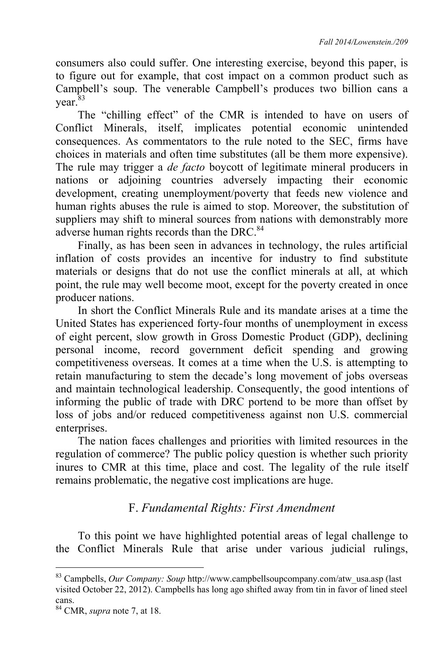consumers also could suffer. One interesting exercise, beyond this paper, is to figure out for example, that cost impact on a common product such as Campbell's soup. The venerable Campbell's produces two billion cans a year.<sup>83</sup>

The "chilling effect" of the CMR is intended to have on users of Conflict Minerals, itself, implicates potential economic unintended consequences. As commentators to the rule noted to the SEC, firms have choices in materials and often time substitutes (all be them more expensive). The rule may trigger a *de facto* boycott of legitimate mineral producers in nations or adjoining countries adversely impacting their economic development, creating unemployment/poverty that feeds new violence and human rights abuses the rule is aimed to stop. Moreover, the substitution of suppliers may shift to mineral sources from nations with demonstrably more adverse human rights records than the DRC.<sup>84</sup>

Finally, as has been seen in advances in technology, the rules artificial inflation of costs provides an incentive for industry to find substitute materials or designs that do not use the conflict minerals at all, at which point, the rule may well become moot, except for the poverty created in once producer nations.

In short the Conflict Minerals Rule and its mandate arises at a time the United States has experienced forty-four months of unemployment in excess of eight percent, slow growth in Gross Domestic Product (GDP), declining personal income, record government deficit spending and growing competitiveness overseas. It comes at a time when the U.S. is attempting to retain manufacturing to stem the decade's long movement of jobs overseas and maintain technological leadership. Consequently, the good intentions of informing the public of trade with DRC portend to be more than offset by loss of jobs and/or reduced competitiveness against non U.S. commercial enterprises.

The nation faces challenges and priorities with limited resources in the regulation of commerce? The public policy question is whether such priority inures to CMR at this time, place and cost. The legality of the rule itself remains problematic, the negative cost implications are huge.

# F. *Fundamental Rights: First Amendment*

To this point we have highlighted potential areas of legal challenge to the Conflict Minerals Rule that arise under various judicial rulings,

<sup>83</sup> Campbells, *Our Company: Soup* http://www.campbellsoupcompany.com/atw\_usa.asp (last visited October 22, 2012). Campbells has long ago shifted away from tin in favor of lined steel cans.

<sup>84</sup> CMR, *supra* note 7, at 18.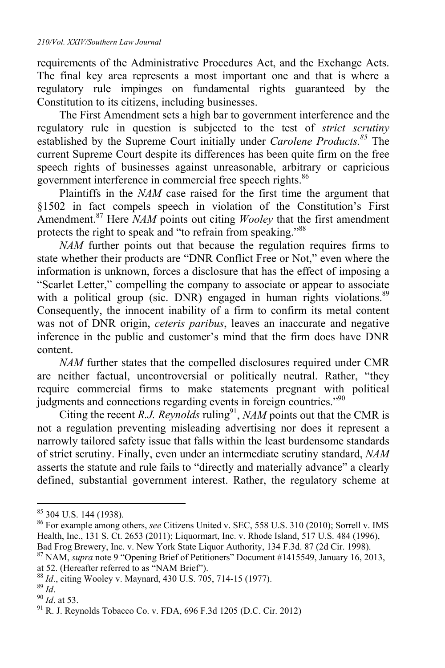requirements of the Administrative Procedures Act, and the Exchange Acts. The final key area represents a most important one and that is where a regulatory rule impinges on fundamental rights guaranteed by the Constitution to its citizens, including businesses.

The First Amendment sets a high bar to government interference and the regulatory rule in question is subjected to the test of *strict scrutiny*  established by the Supreme Court initially under *Carolene Products.<sup>85</sup>* The current Supreme Court despite its differences has been quite firm on the free speech rights of businesses against unreasonable, arbitrary or capricious government interference in commercial free speech rights.<sup>86</sup>

Plaintiffs in the *NAM* case raised for the first time the argument that §1502 in fact compels speech in violation of the Constitution's First Amendment.87 Here *NAM* points out citing *Wooley* that the first amendment protects the right to speak and "to refrain from speaking."<sup>88</sup>

*NAM* further points out that because the regulation requires firms to state whether their products are "DNR Conflict Free or Not," even where the information is unknown, forces a disclosure that has the effect of imposing a "Scarlet Letter," compelling the company to associate or appear to associate with a political group (sic. DNR) engaged in human rights violations.<sup>89</sup> Consequently, the innocent inability of a firm to confirm its metal content was not of DNR origin, *ceteris paribus*, leaves an inaccurate and negative inference in the public and customer's mind that the firm does have DNR content.

*NAM* further states that the compelled disclosures required under CMR are neither factual, uncontroversial or politically neutral. Rather, "they require commercial firms to make statements pregnant with political judgments and connections regarding events in foreign countries."90

Citing the recent *R.J. Reynolds* ruling<sup>91</sup>, *NAM* points out that the CMR is not a regulation preventing misleading advertising nor does it represent a narrowly tailored safety issue that falls within the least burdensome standards of strict scrutiny. Finally, even under an intermediate scrutiny standard, *NAM* asserts the statute and rule fails to "directly and materially advance" a clearly defined, substantial government interest. Rather, the regulatory scheme at

<sup>85 304</sup> U.S. 144 (1938).

<sup>86</sup> For example among others, *see* Citizens United v. SEC, 558 U.S. 310 (2010); Sorrell v. IMS Health, Inc., 131 S. Ct. 2653 (2011); Liquormart, Inc. v. Rhode Island, 517 U.S. 484 (1996), Bad Frog Brewery, Inc. v. New York State Liquor Authority, 134 F.3d. 87 (2d Cir. 1998). 87 NAM, *supra* note 9 "Opening Brief of Petitioners" Document #1415549, January 16, 2013,

at 52. (Hereafter referred to as "NAM Brief").<br><sup>88</sup> *Id*., citing Wooley v. Maynard, 430 U.S. 705, 714-15 (1977).<br><sup>90</sup> *Id*. at 53. 91 R. J. Reynolds Tobacco Co. v. FDA, 696 F.3d 1205 (D.C. Cir. 2012)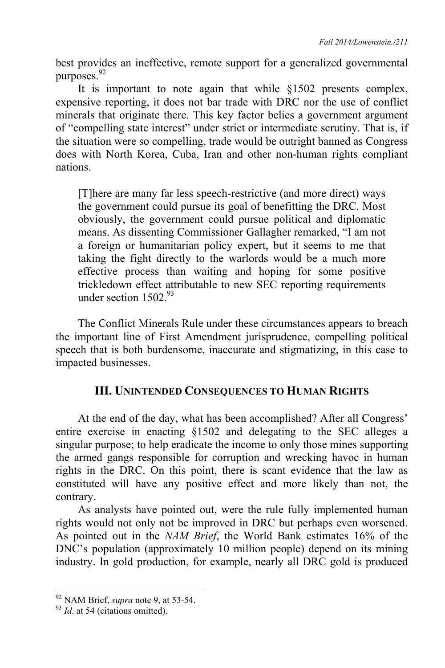best provides an ineffective, remote support for a generalized governmental purposes.<sup>92</sup>

It is important to note again that while §1502 presents complex, expensive reporting, it does not bar trade with DRC nor the use of conflict minerals that originate there. This key factor belies a government argument of "compelling state interest" under strict or intermediate scrutiny. That is, if the situation were so compelling, trade would be outright banned as Congress does with North Korea, Cuba, Iran and other non-human rights compliant nations.

[T]here are many far less speech-restrictive (and more direct) ways the government could pursue its goal of benefitting the DRC. Most obviously, the government could pursue political and diplomatic means. As dissenting Commissioner Gallagher remarked, "I am not a foreign or humanitarian policy expert, but it seems to me that taking the fight directly to the warlords would be a much more effective process than waiting and hoping for some positive trickledown effect attributable to new SEC reporting requirements under section 1502<sup>93</sup>

The Conflict Minerals Rule under these circumstances appears to breach the important line of First Amendment jurisprudence, compelling political speech that is both burdensome, inaccurate and stigmatizing, in this case to impacted businesses.

# **III. UNINTENDED CONSEQUENCES TO HUMAN RIGHTS**

At the end of the day, what has been accomplished? After all Congress' entire exercise in enacting §1502 and delegating to the SEC alleges a singular purpose; to help eradicate the income to only those mines supporting the armed gangs responsible for corruption and wrecking havoc in human rights in the DRC. On this point, there is scant evidence that the law as constituted will have any positive effect and more likely than not, the contrary.

As analysts have pointed out, were the rule fully implemented human rights would not only not be improved in DRC but perhaps even worsened. As pointed out in the *NAM Brief*, the World Bank estimates 16% of the DNC's population (approximately 10 million people) depend on its mining industry. In gold production, for example, nearly all DRC gold is produced

<sup>&</sup>lt;sup>92</sup> NAM Brief, *supra* note 9, at 53-54.<br><sup>93</sup> *Id.* at 54 (citations omitted).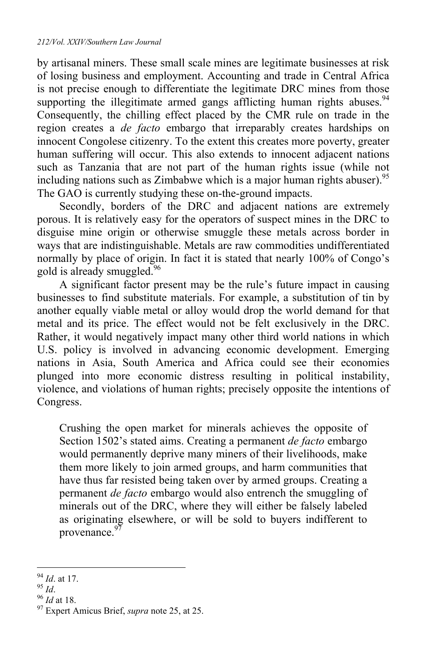by artisanal miners. These small scale mines are legitimate businesses at risk of losing business and employment. Accounting and trade in Central Africa is not precise enough to differentiate the legitimate DRC mines from those supporting the illegitimate armed gangs afflicting human rights abuses.<sup>94</sup> Consequently, the chilling effect placed by the CMR rule on trade in the region creates a *de facto* embargo that irreparably creates hardships on innocent Congolese citizenry. To the extent this creates more poverty, greater human suffering will occur. This also extends to innocent adjacent nations such as Tanzania that are not part of the human rights issue (while not including nations such as Zimbabwe which is a major human rights abuser).  $95$ The GAO is currently studying these on-the-ground impacts.

Secondly, borders of the DRC and adjacent nations are extremely porous. It is relatively easy for the operators of suspect mines in the DRC to disguise mine origin or otherwise smuggle these metals across border in ways that are indistinguishable. Metals are raw commodities undifferentiated normally by place of origin. In fact it is stated that nearly 100% of Congo's gold is already smuggled.96

A significant factor present may be the rule's future impact in causing businesses to find substitute materials. For example, a substitution of tin by another equally viable metal or alloy would drop the world demand for that metal and its price. The effect would not be felt exclusively in the DRC. Rather, it would negatively impact many other third world nations in which U.S. policy is involved in advancing economic development. Emerging nations in Asia, South America and Africa could see their economies plunged into more economic distress resulting in political instability, violence, and violations of human rights; precisely opposite the intentions of Congress.

Crushing the open market for minerals achieves the opposite of Section 1502's stated aims. Creating a permanent *de facto* embargo would permanently deprive many miners of their livelihoods, make them more likely to join armed groups, and harm communities that have thus far resisted being taken over by armed groups. Creating a permanent *de facto* embargo would also entrench the smuggling of minerals out of the DRC, where they will either be falsely labeled as originating elsewhere, or will be sold to buyers indifferent to provenance.<sup>97</sup>

 $\overline{a}$ 

<sup>94</sup> *Id.* at 17.<br><sup>95</sup> *Id.*<br><sup>96</sup> *Id* at 18.<br><sup>97</sup> Expert Amicus Brief, *supra* note 25, at 25.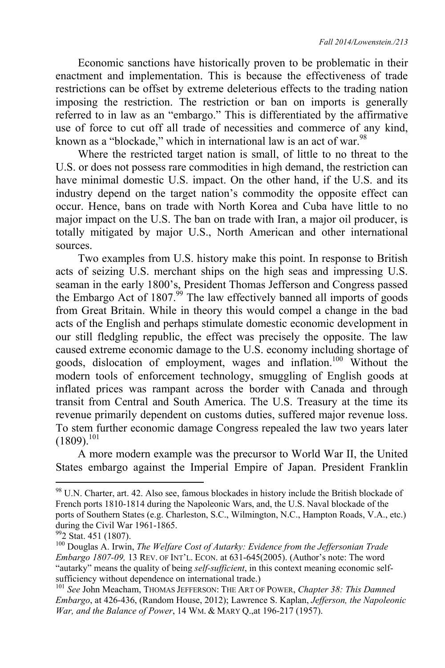Economic sanctions have historically proven to be problematic in their enactment and implementation. This is because the effectiveness of trade restrictions can be offset by extreme deleterious effects to the trading nation imposing the restriction. The restriction or ban on imports is generally referred to in law as an "embargo." This is differentiated by the affirmative use of force to cut off all trade of necessities and commerce of any kind, known as a "blockade," which in international law is an act of war.  $98$ 

Where the restricted target nation is small, of little to no threat to the U.S. or does not possess rare commodities in high demand, the restriction can have minimal domestic U.S. impact. On the other hand, if the U.S. and its industry depend on the target nation's commodity the opposite effect can occur. Hence, bans on trade with North Korea and Cuba have little to no major impact on the U.S. The ban on trade with Iran, a major oil producer, is totally mitigated by major U.S., North American and other international sources.

Two examples from U.S. history make this point. In response to British acts of seizing U.S. merchant ships on the high seas and impressing U.S. seaman in the early 1800's, President Thomas Jefferson and Congress passed the Embargo Act of 1807.<sup>99</sup> The law effectively banned all imports of goods from Great Britain. While in theory this would compel a change in the bad acts of the English and perhaps stimulate domestic economic development in our still fledgling republic, the effect was precisely the opposite. The law caused extreme economic damage to the U.S. economy including shortage of goods, dislocation of employment, wages and inflation.100 Without the modern tools of enforcement technology, smuggling of English goods at inflated prices was rampant across the border with Canada and through transit from Central and South America. The U.S. Treasury at the time its revenue primarily dependent on customs duties, suffered major revenue loss. To stem further economic damage Congress repealed the law two years later  $(1809).$ <sup>101</sup>

A more modern example was the precursor to World War II, the United States embargo against the Imperial Empire of Japan. President Franklin

 $98$  U.N. Charter, art. 42. Also see, famous blockades in history include the British blockade of French ports 1810-1814 during the Napoleonic Wars, and, the U.S. Naval blockade of the ports of Southern States (e.g. Charleston, S.C., Wilmington, N.C., Hampton Roads, V.A., etc.) during the Civil War 1961-1865.

<sup>&</sup>lt;sup>99</sup>2 Stat. 451 (1807).

<sup>100</sup> Douglas A. Irwin, *The Welfare Cost of Autarky: Evidence from the Jeffersonian Trade Embargo 1807-09,* 13 REV. OF INT'L. ECON. at 631-645(2005). (Author's note: The word "autarky" means the quality of being *self-sufficient*, in this context meaning economic selfsufficiency without dependence on international trade.)

<sup>101</sup> *See* John Meacham, THOMAS JEFFERSON: THE ART OF POWER, *Chapter 38: This Damned Embargo*, at 426-436, (Random House, 2012); Lawrence S. Kaplan, *Jefferson, the Napoleonic War, and the Balance of Power*, 14 WM. & MARY Q.,at 196-217 (1957).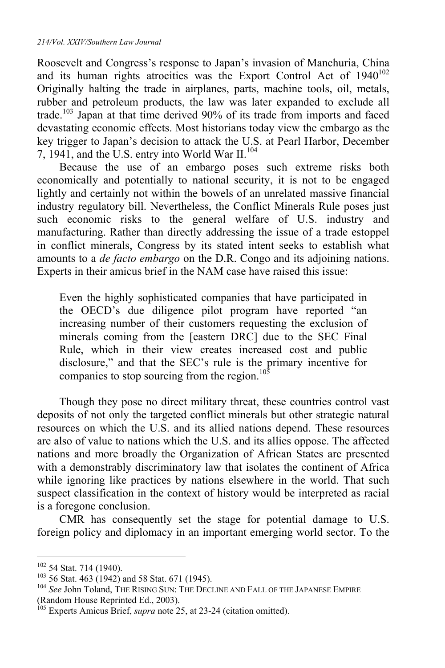Roosevelt and Congress's response to Japan's invasion of Manchuria, China and its human rights atrocities was the Export Control Act of  $1940^{102}$ Originally halting the trade in airplanes, parts, machine tools, oil, metals, rubber and petroleum products, the law was later expanded to exclude all trade.103 Japan at that time derived 90% of its trade from imports and faced devastating economic effects. Most historians today view the embargo as the key trigger to Japan's decision to attack the U.S. at Pearl Harbor, December 7, 1941, and the U.S. entry into World War II.<sup>104</sup>

Because the use of an embargo poses such extreme risks both economically and potentially to national security, it is not to be engaged lightly and certainly not within the bowels of an unrelated massive financial industry regulatory bill. Nevertheless, the Conflict Minerals Rule poses just such economic risks to the general welfare of U.S. industry and manufacturing. Rather than directly addressing the issue of a trade estoppel in conflict minerals, Congress by its stated intent seeks to establish what amounts to a *de facto embargo* on the D.R. Congo and its adjoining nations. Experts in their amicus brief in the NAM case have raised this issue:

Even the highly sophisticated companies that have participated in the OECD's due diligence pilot program have reported "an increasing number of their customers requesting the exclusion of minerals coming from the [eastern DRC] due to the SEC Final Rule, which in their view creates increased cost and public disclosure," and that the SEC's rule is the primary incentive for companies to stop sourcing from the region. $10^5$ 

Though they pose no direct military threat, these countries control vast deposits of not only the targeted conflict minerals but other strategic natural resources on which the U.S. and its allied nations depend. These resources are also of value to nations which the U.S. and its allies oppose. The affected nations and more broadly the Organization of African States are presented with a demonstrably discriminatory law that isolates the continent of Africa while ignoring like practices by nations elsewhere in the world. That such suspect classification in the context of history would be interpreted as racial is a foregone conclusion.

CMR has consequently set the stage for potential damage to U.S. foreign policy and diplomacy in an important emerging world sector. To the

<sup>&</sup>lt;sup>102</sup> 54 Stat. 714 (1940).

<sup>&</sup>lt;sup>103</sup> 56 Stat. 463 (1942) and 58 Stat. 671 (1945).<br><sup>104</sup> *See* John Toland, The Rising Sun: The Decline and Fall of the Japanese Empire (Random House Reprinted Ed., 2003).

<sup>&</sup>lt;sup>105</sup> Experts Amicus Brief, *supra* note 25, at 23-24 (citation omitted).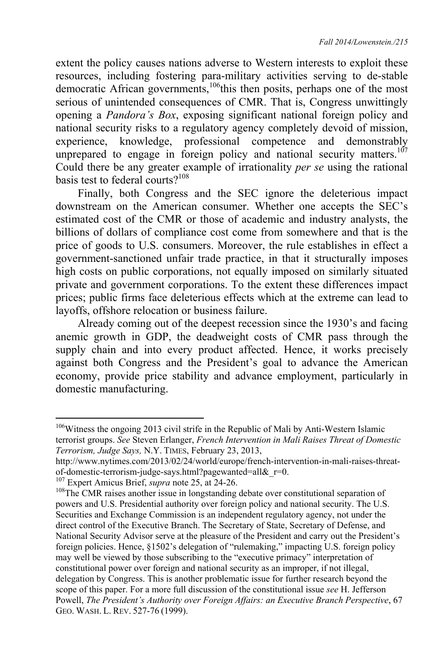extent the policy causes nations adverse to Western interests to exploit these resources, including fostering para-military activities serving to de-stable democratic African governments,<sup>106</sup>this then posits, perhaps one of the most serious of unintended consequences of CMR. That is, Congress unwittingly opening a *Pandora's Box*, exposing significant national foreign policy and national security risks to a regulatory agency completely devoid of mission, experience, knowledge, professional competence and demonstrably unprepared to engage in foreign policy and national security matters.<sup>107</sup> Could there be any greater example of irrationality *per se* using the rational basis test to federal courts?<sup>108</sup>

Finally, both Congress and the SEC ignore the deleterious impact downstream on the American consumer. Whether one accepts the SEC's estimated cost of the CMR or those of academic and industry analysts, the billions of dollars of compliance cost come from somewhere and that is the price of goods to U.S. consumers. Moreover, the rule establishes in effect a government-sanctioned unfair trade practice, in that it structurally imposes high costs on public corporations, not equally imposed on similarly situated private and government corporations. To the extent these differences impact prices; public firms face deleterious effects which at the extreme can lead to layoffs, offshore relocation or business failure.

Already coming out of the deepest recession since the 1930's and facing anemic growth in GDP, the deadweight costs of CMR pass through the supply chain and into every product affected. Hence, it works precisely against both Congress and the President's goal to advance the American economy, provide price stability and advance employment, particularly in domestic manufacturing.

 $106$ Witness the ongoing 2013 civil strife in the Republic of Mali by Anti-Western Islamic terrorist groups. *See* Steven Erlanger, *French Intervention in Mali Raises Threat of Domestic Terrorism, Judge Says,* N.Y. TIMES, February 23, 2013,

http://www.nytimes.com/2013/02/24/world/europe/french-intervention-in-mali-raises-threatof-domestic-terrorism-judge-says.html?pagewanted=all&\_r=0.<br><sup>107</sup> Expert Amicus Brief, *supra* note 25, at 24-26.

<sup>&</sup>lt;sup>108</sup> The CMR raises another issue in longstanding debate over constitutional separation of powers and U.S. Presidential authority over foreign policy and national security. The U.S. Securities and Exchange Commission is an independent regulatory agency, not under the direct control of the Executive Branch. The Secretary of State, Secretary of Defense, and National Security Advisor serve at the pleasure of the President and carry out the President's foreign policies. Hence, §1502's delegation of "rulemaking," impacting U.S. foreign policy may well be viewed by those subscribing to the "executive primacy" interpretation of constitutional power over foreign and national security as an improper, if not illegal, delegation by Congress. This is another problematic issue for further research beyond the scope of this paper. For a more full discussion of the constitutional issue *see* H. Jefferson Powell, *The President's Authority over Foreign Affairs: an Executive Branch Perspective*, 67 GEO. WASH. L. REV. 527-76 (1999).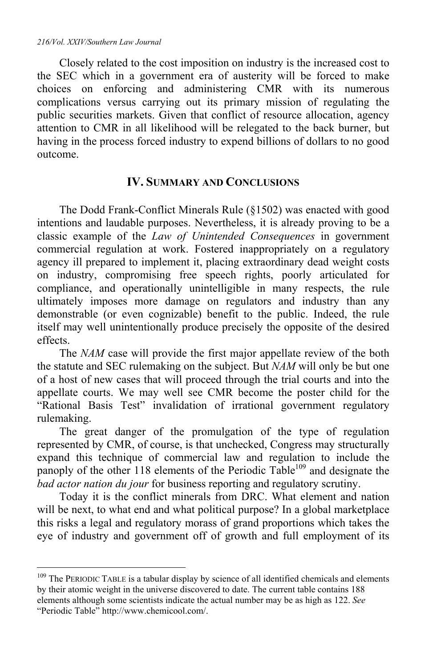$\overline{a}$ 

Closely related to the cost imposition on industry is the increased cost to the SEC which in a government era of austerity will be forced to make choices on enforcing and administering CMR with its numerous complications versus carrying out its primary mission of regulating the public securities markets. Given that conflict of resource allocation, agency attention to CMR in all likelihood will be relegated to the back burner, but having in the process forced industry to expend billions of dollars to no good outcome.

## **IV. SUMMARY AND CONCLUSIONS**

The Dodd Frank-Conflict Minerals Rule (§1502) was enacted with good intentions and laudable purposes. Nevertheless, it is already proving to be a classic example of the *Law of Unintended Consequences* in government commercial regulation at work. Fostered inappropriately on a regulatory agency ill prepared to implement it, placing extraordinary dead weight costs on industry, compromising free speech rights, poorly articulated for compliance, and operationally unintelligible in many respects, the rule ultimately imposes more damage on regulators and industry than any demonstrable (or even cognizable) benefit to the public. Indeed, the rule itself may well unintentionally produce precisely the opposite of the desired effects.

The *NAM* case will provide the first major appellate review of the both the statute and SEC rulemaking on the subject. But *NAM* will only be but one of a host of new cases that will proceed through the trial courts and into the appellate courts. We may well see CMR become the poster child for the "Rational Basis Test" invalidation of irrational government regulatory rulemaking.

The great danger of the promulgation of the type of regulation represented by CMR, of course, is that unchecked, Congress may structurally expand this technique of commercial law and regulation to include the panoply of the other 118 elements of the Periodic Table<sup>109</sup> and designate the *bad actor nation du jour* for business reporting and regulatory scrutiny.

Today it is the conflict minerals from DRC. What element and nation will be next, to what end and what political purpose? In a global marketplace this risks a legal and regulatory morass of grand proportions which takes the eye of industry and government off of growth and full employment of its

 $109$  The PERIODIC TABLE is a tabular display by science of all identified chemicals and elements by their atomic weight in the universe discovered to date. The current table contains 188 elements although some scientists indicate the actual number may be as high as 122. *See* "Periodic Table" http://www.chemicool.com/.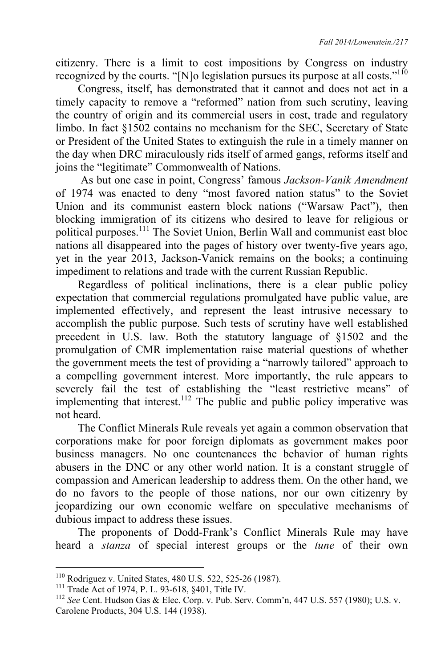citizenry. There is a limit to cost impositions by Congress on industry recognized by the courts. "[N]o legislation pursues its purpose at all costs."<sup>110</sup>

Congress, itself, has demonstrated that it cannot and does not act in a timely capacity to remove a "reformed" nation from such scrutiny, leaving the country of origin and its commercial users in cost, trade and regulatory limbo. In fact §1502 contains no mechanism for the SEC, Secretary of State or President of the United States to extinguish the rule in a timely manner on the day when DRC miraculously rids itself of armed gangs, reforms itself and joins the "legitimate" Commonwealth of Nations.

 As but one case in point, Congress' famous *Jackson-Vanik Amendment* of 1974 was enacted to deny "most favored nation status" to the Soviet Union and its communist eastern block nations ("Warsaw Pact"), then blocking immigration of its citizens who desired to leave for religious or political purposes.<sup>111</sup> The Soviet Union, Berlin Wall and communist east bloc nations all disappeared into the pages of history over twenty-five years ago, yet in the year 2013, Jackson-Vanick remains on the books; a continuing impediment to relations and trade with the current Russian Republic.

Regardless of political inclinations, there is a clear public policy expectation that commercial regulations promulgated have public value, are implemented effectively, and represent the least intrusive necessary to accomplish the public purpose. Such tests of scrutiny have well established precedent in U.S. law. Both the statutory language of §1502 and the promulgation of CMR implementation raise material questions of whether the government meets the test of providing a "narrowly tailored" approach to a compelling government interest. More importantly, the rule appears to severely fail the test of establishing the "least restrictive means" of implementing that interest.<sup>112</sup> The public and public policy imperative was not heard.

The Conflict Minerals Rule reveals yet again a common observation that corporations make for poor foreign diplomats as government makes poor business managers. No one countenances the behavior of human rights abusers in the DNC or any other world nation. It is a constant struggle of compassion and American leadership to address them. On the other hand, we do no favors to the people of those nations, nor our own citizenry by jeopardizing our own economic welfare on speculative mechanisms of dubious impact to address these issues.

The proponents of Dodd-Frank's Conflict Minerals Rule may have heard a *stanza* of special interest groups or the *tune* of their own

<sup>110</sup> Rodriguez v. United States, 480 U.S. 522, 525-26 (1987).<br><sup>111</sup> Trade Act of 1974, P. L. 93-618, §401, Title IV.<br><sup>112</sup> *See* Cent. Hudson Gas & Elec. Corp. v. Pub. Serv. Comm'n, 447 U.S. 557 (1980); U.S. v. Carolene Products, 304 U.S. 144 (1938).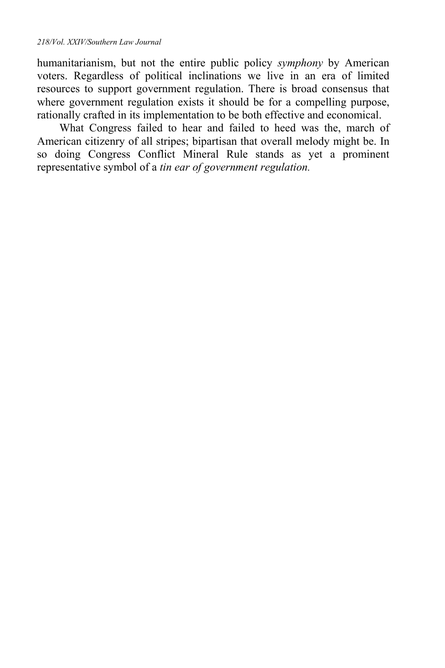humanitarianism, but not the entire public policy *symphony* by American voters. Regardless of political inclinations we live in an era of limited resources to support government regulation. There is broad consensus that where government regulation exists it should be for a compelling purpose, rationally crafted in its implementation to be both effective and economical.

What Congress failed to hear and failed to heed was the, march of American citizenry of all stripes; bipartisan that overall melody might be. In so doing Congress Conflict Mineral Rule stands as yet a prominent representative symbol of a *tin ear of government regulation.*